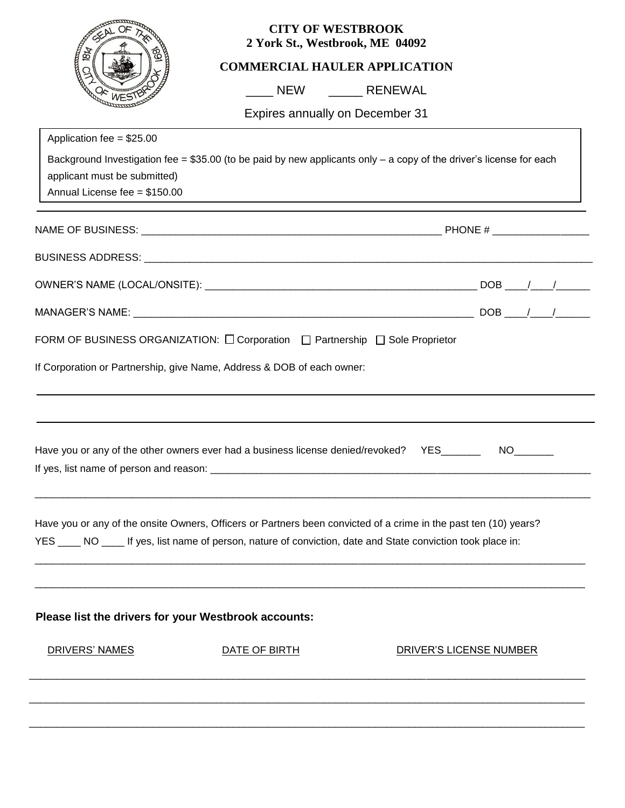|                                                                                             | <b>CITY OF WESTBROOK</b><br>2 York St., Westbrook, ME 04092                                                                                                                                                                      |                                                                                                                        |
|---------------------------------------------------------------------------------------------|----------------------------------------------------------------------------------------------------------------------------------------------------------------------------------------------------------------------------------|------------------------------------------------------------------------------------------------------------------------|
| 8k                                                                                          | <b>COMMERCIAL HAULER APPLICATION</b>                                                                                                                                                                                             |                                                                                                                        |
|                                                                                             |                                                                                                                                                                                                                                  |                                                                                                                        |
|                                                                                             | Expires annually on December 31                                                                                                                                                                                                  |                                                                                                                        |
| Application fee = $$25.00$<br>applicant must be submitted)<br>Annual License fee = \$150.00 |                                                                                                                                                                                                                                  | Background Investigation fee = $$35.00$ (to be paid by new applicants only $-$ a copy of the driver's license for each |
|                                                                                             |                                                                                                                                                                                                                                  |                                                                                                                        |
|                                                                                             |                                                                                                                                                                                                                                  |                                                                                                                        |
|                                                                                             |                                                                                                                                                                                                                                  |                                                                                                                        |
|                                                                                             |                                                                                                                                                                                                                                  |                                                                                                                        |
|                                                                                             | FORM OF BUSINESS ORGANIZATION: $\Box$ Corporation $\Box$ Partnership $\Box$ Sole Proprietor                                                                                                                                      |                                                                                                                        |
|                                                                                             | If Corporation or Partnership, give Name, Address & DOB of each owner:                                                                                                                                                           | ,我们也不会有什么。""我们的人,我们也不会有什么?""我们的人,我们也不会有什么?""我们的人,我们也不会有什么?""我们的人,我们也不会有什么?""我们的人                                       |
| If yes, list name of person and reason:                                                     | Have you or any of the other owners ever had a business license denied/revoked? YES______                                                                                                                                        | NO <sub>2</sub>                                                                                                        |
|                                                                                             | Have you or any of the onsite Owners, Officers or Partners been convicted of a crime in the past ten (10) years?<br>YES ____ NO ____ If yes, list name of person, nature of conviction, date and State conviction took place in: |                                                                                                                        |
| Please list the drivers for your Westbrook accounts:                                        |                                                                                                                                                                                                                                  |                                                                                                                        |
| DRIVERS' NAMES                                                                              | DATE OF BIRTH                                                                                                                                                                                                                    | DRIVER'S LICENSE NUMBER                                                                                                |
|                                                                                             |                                                                                                                                                                                                                                  |                                                                                                                        |
|                                                                                             |                                                                                                                                                                                                                                  |                                                                                                                        |
|                                                                                             |                                                                                                                                                                                                                                  |                                                                                                                        |